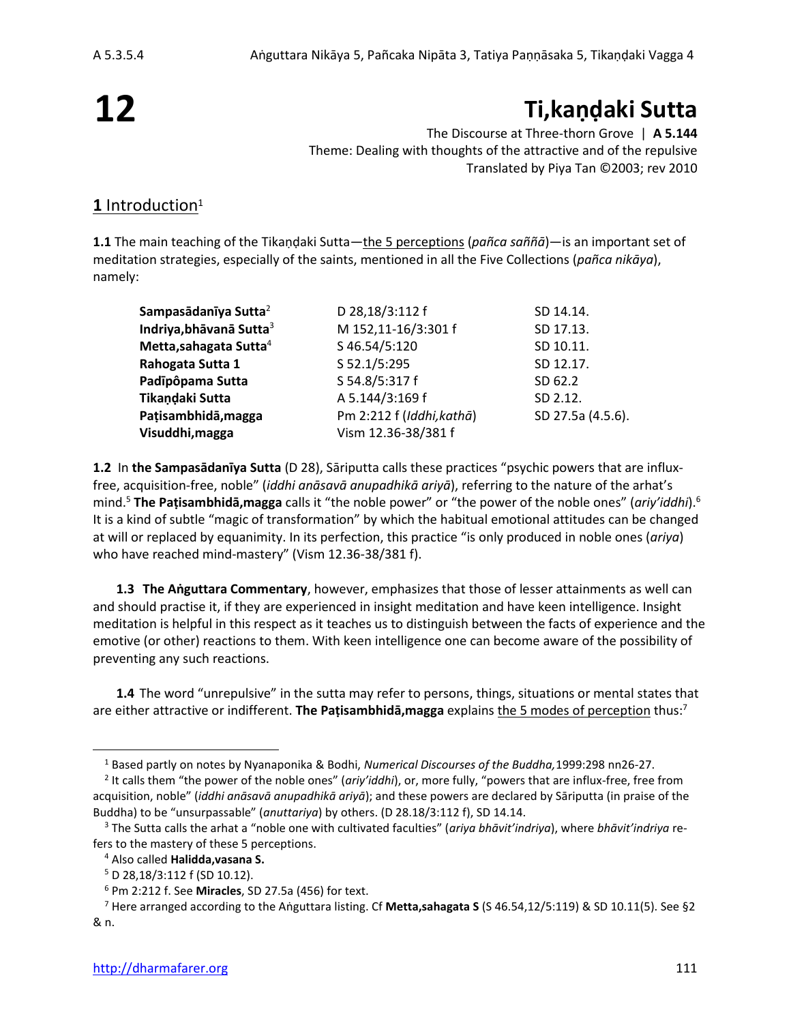# **12**

# **Ti,kaṇḍaki Sutta**

The Discourse at Three-thorn Grove | **A 5.144** Theme: Dealing with thoughts of the attractive and of the repulsive Translated by Piya Tan ©2003; rev 2010

#### 1 Introduction<sup>1</sup>

**1.1** The main teaching of the Tikaṇḍaki Sutta—the 5 perceptions (*pañca saññā*)—is an important set of meditation strategies, especially of the saints, mentioned in all the Five Collections (*pañca nikāya*), namely:

| Sampasādanīya Sutta <sup>2</sup>    | D 28,18/3:112 f           | SD 14.14.         |
|-------------------------------------|---------------------------|-------------------|
| Indriya, bhāvanā Sutta <sup>3</sup> | M 152,11-16/3:301 f       | SD 17.13.         |
| Metta, sahagata Sutta <sup>4</sup>  | S 46.54/5:120             | SD 10.11.         |
| Rahogata Sutta 1                    | S 52.1/5:295              | SD 12.17.         |
| Padīpôpama Sutta                    | S 54.8/5:317 f            | SD 62.2           |
| Tikandaki Sutta                     | A 5.144/3:169 f           | SD 2.12.          |
| Pațisambhidā, magga                 | Pm 2:212 f (Iddhi, kathā) | SD 27.5a (4.5.6). |
| Visuddhi, magga                     | Vism 12.36-38/381 f       |                   |

**1.2** In **the Sampasādanīya Sutta** (D 28), Sāriputta calls these practices "psychic powers that are influxfree, acquisition-free, noble" (*iddhi anāsavā anupadhikā ariyā*), referring to the nature of the arhat's mind. <sup>5</sup> **The Paṭisambhidā,magga** calls it "the noble power" or "the power of the noble ones" (*ariy'iddhi*).<sup>6</sup> It is a kind of subtle "magic of transformation" by which the habitual emotional attitudes can be changed at will or replaced by equanimity. In its perfection, this practice "is only produced in noble ones (*ariya*) who have reached mind-mastery" (Vism 12.36-38/381 f).

**1.3 The Aṅguttara Commentary**, however, emphasizes that those of lesser attainments as well can and should practise it, if they are experienced in insight meditation and have keen intelligence. Insight meditation is helpful in this respect as it teaches us to distinguish between the facts of experience and the emotive (or other) reactions to them. With keen intelligence one can become aware of the possibility of preventing any such reactions.

**1.4** The word "unrepulsive" in the sutta may refer to persons, things, situations or mental states that are either attractive or indifferent. **The Paṭisambhidā,magga** explains the 5 modes of perception thus:<sup>7</sup>

<sup>1</sup> Based partly on notes by Nyanaponika & Bodhi, *Numerical Discourses of the Buddha,*1999:298 nn26-27.

<sup>2</sup> It calls them "the power of the noble ones" (*ariy'iddhi*), or, more fully, "powers that are influx-free, free from acquisition, noble" (*iddhi anāsavā anupadhikā ariyā*); and these powers are declared by Sāriputta (in praise of the Buddha) to be "unsurpassable" (*anuttariya*) by others. (D 28.18/3:112 f), SD 14.14.

<sup>3</sup> The Sutta calls the arhat a "noble one with cultivated faculties" (*ariya bhāvit'indriya*), where *bhāvit'indriya* refers to the mastery of these 5 perceptions.

<sup>4</sup> Also called **Halidda,vasana S.**

<sup>5</sup> D 28,18/3:112 f (SD 10.12).

<sup>6</sup> Pm 2:212 f. See **Miracles**, SD 27.5a (456) for text.

<sup>7</sup> Here arranged according to the Aṅguttara listing. Cf **Metta,sahagata S** (S 46.54,12/5:119) & SD 10.11(5). See §2 & n.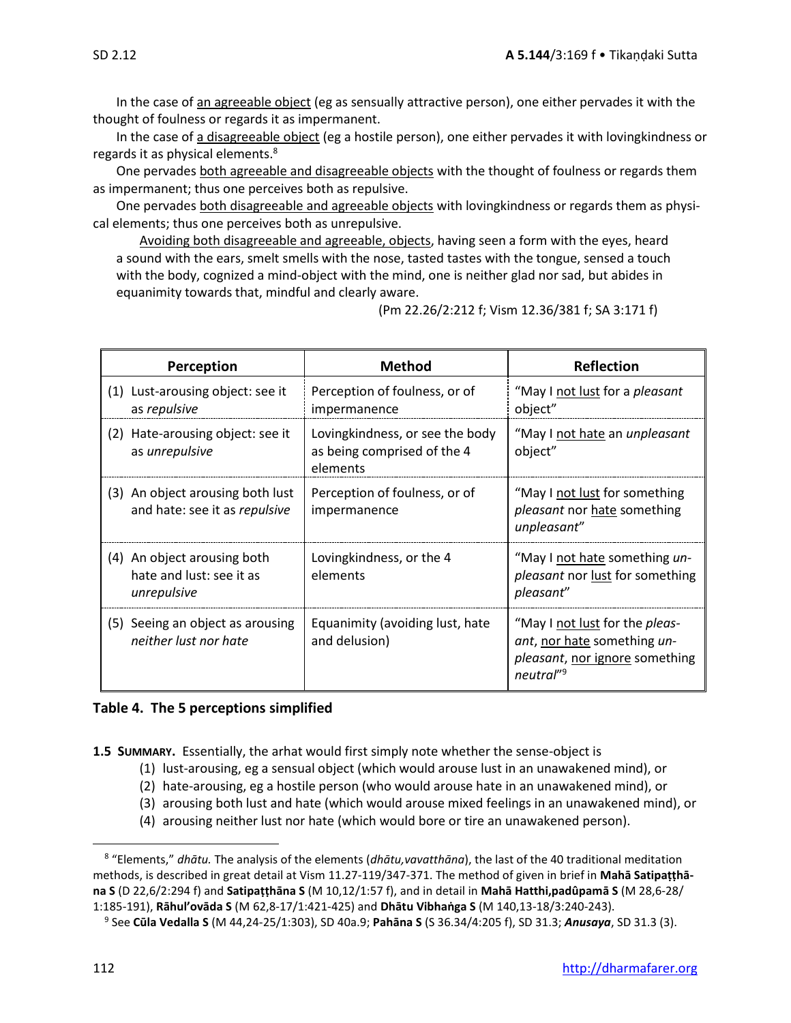In the case of an agreeable object (eg as sensually attractive person), one either pervades it with the thought of foulness or regards it as impermanent.

In the case of a disagreeable object (eg a hostile person), one either pervades it with lovingkindness or regards it as physical elements.<sup>8</sup>

One pervades both agreeable and disagreeable objects with the thought of foulness or regards them as impermanent; thus one perceives both as repulsive.

One pervades both disagreeable and agreeable objects with lovingkindness or regards them as physical elements; thus one perceives both as unrepulsive.

Avoiding both disagreeable and agreeable, objects, having seen a form with the eyes, heard a sound with the ears, smelt smells with the nose, tasted tastes with the tongue, sensed a touch with the body, cognized a mind-object with the mind, one is neither glad nor sad, but abides in equanimity towards that, mindful and clearly aware.

(Pm 22.26/2:212 f; Vism 12.36/381 f; SA 3:171 f)

| Perception |                                                                        | <b>Method</b>                                                              | <b>Reflection</b>                                                                                                               |
|------------|------------------------------------------------------------------------|----------------------------------------------------------------------------|---------------------------------------------------------------------------------------------------------------------------------|
|            | (1) Lust-arousing object: see it<br>as repulsive                       | Perception of foulness, or of<br>impermanence                              | "May I not lust for a <i>pleasant</i><br>object"                                                                                |
| (2)        | Hate-arousing object: see it<br>as unrepulsive                         | Lovingkindness, or see the body<br>as being comprised of the 4<br>elements | "May I not hate an <i>unpleasant</i><br>object"                                                                                 |
|            | (3) An object arousing both lust<br>and hate: see it as repulsive      | Perception of foulness, or of<br>impermanence                              | "May I not lust for something<br>pleasant nor hate something<br>unpleasant"                                                     |
|            | (4) An object arousing both<br>hate and lust: see it as<br>unrepulsive | Lovingkindness, or the 4<br>elements                                       | "May I not hate something un-<br>pleasant nor lust for something<br>pleasant"                                                   |
|            | (5) Seeing an object as arousing<br>neither lust nor hate              | Equanimity (avoiding lust, hate<br>and delusion)                           | "May I not lust for the <i>pleas-</i><br>ant, nor hate something un-<br>pleasant, nor ignore something<br>neutral" <sup>9</sup> |

#### **Table 4. The 5 perceptions simplified**

- **1.5 SUMMARY.** Essentially, the arhat would first simply note whether the sense-object is
	- (1) lust-arousing, eg a sensual object (which would arouse lust in an unawakened mind), or
	- (2) hate-arousing, eg a hostile person (who would arouse hate in an unawakened mind), or
	- (3) arousing both lust and hate (which would arouse mixed feelings in an unawakened mind), or
	- (4) arousing neither lust nor hate (which would bore or tire an unawakened person).

<sup>8</sup> "Elements," *dhātu.* The analysis of the elements (*dhātu,vavatthāna*), the last of the 40 traditional meditation methods, is described in great detail at Vism 11.27-119/347-371. The method of given in brief in **Mahā Satipaṭṭhāna S** (D 22,6/2:294 f) and **Satipaṭṭhāna S** (M 10,12/1:57 f), and in detail in **Mahā Hatthi,padûpamā S** (M 28,6-28/ 1:185-191), **Rāhul'ovāda S** (M 62,8-17/1:421-425) and **Dhātu Vibhaṅga S** (M 140,13-18/3:240-243).

<sup>9</sup> See **Cūla Vedalla S** (M 44,24-25/1:303), SD 40a.9; **Pahāna S** (S 36.34/4:205 f), SD 31.3; *Anusaya*, SD 31.3 (3).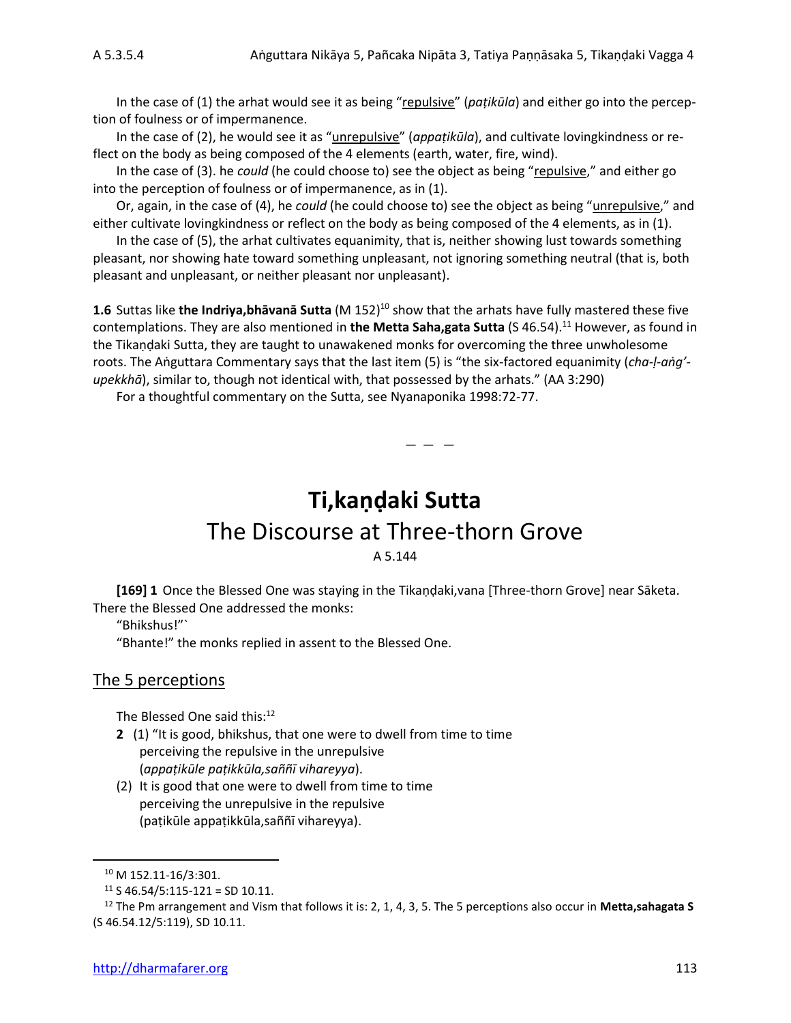In the case of (1) the arhat would see it as being "repulsive" (*paṭikūla*) and either go into the perception of foulness or of impermanence.

In the case of (2), he would see it as "unrepulsive" (*appaṭikūla*), and cultivate lovingkindness or reflect on the body as being composed of the 4 elements (earth, water, fire, wind).

In the case of (3). he *could* (he could choose to) see the object as being "repulsive," and either go into the perception of foulness or of impermanence, as in (1).

Or, again, in the case of (4), he *could* (he could choose to) see the object as being "unrepulsive," and either cultivate lovingkindness or reflect on the body as being composed of the 4 elements, as in (1).

In the case of (5), the arhat cultivates equanimity, that is, neither showing lust towards something pleasant, nor showing hate toward something unpleasant, not ignoring something neutral (that is, both pleasant and unpleasant, or neither pleasant nor unpleasant).

**1.6** Suttas like **the Indriya,bhāvanā Sutta** (M 152)<sup>10</sup> show that the arhats have fully mastered these five contemplations. They are also mentioned in **the Metta Saha,gata Sutta** (S 46.54).<sup>11</sup> However, as found in the Tikaṇḍaki Sutta, they are taught to unawakened monks for overcoming the three unwholesome roots. The Aṅguttara Commentary says that the last item (5) is "the six-factored equanimity (*cha-ḷ-aṅg' upekkhā*), similar to, though not identical with, that possessed by the arhats." (AA 3:290)

For a thoughtful commentary on the Sutta, see Nyanaponika 1998:72-77.

## **Ti,kaṇḍaki Sutta** The Discourse at Three-thorn Grove A 5.144

— — —

**[169] 1** Once the Blessed One was staying in the Tikaṇḍaki,vana [Three-thorn Grove] near Sāketa. There the Blessed One addressed the monks:

"Bhikshus!"`

"Bhante!" the monks replied in assent to the Blessed One.

#### The 5 perceptions

The Blessed One said this:<sup>12</sup>

- **2** (1) "It is good, bhikshus, that one were to dwell from time to time perceiving the repulsive in the unrepulsive (*appaṭikūle paṭikkūla,saññī vihareyya*).
- (2) It is good that one were to dwell from time to time perceiving the unrepulsive in the repulsive (paṭikūle appaṭikkūla,saññī vihareyya).

<sup>10</sup> M 152.11-16/3:301.

 $11$  S 46.54/5:115-121 = SD 10.11.

<sup>12</sup> The Pm arrangement and Vism that follows it is: 2, 1, 4, 3, 5. The 5 perceptions also occur in **Metta,sahagata S**  (S 46.54.12/5:119), SD 10.11.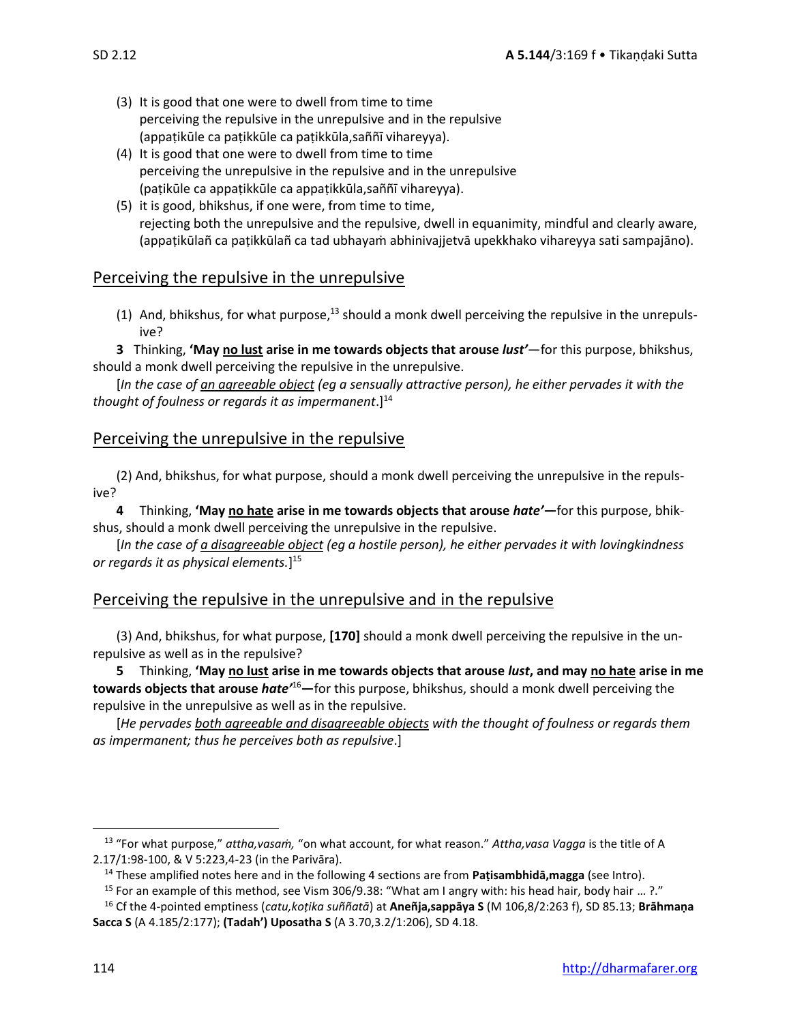- (3) It is good that one were to dwell from time to time perceiving the repulsive in the unrepulsive and in the repulsive (appaṭikūle ca paṭikkūle ca paṭikkūla,saññī vihareyya).
- (4) It is good that one were to dwell from time to time perceiving the unrepulsive in the repulsive and in the unrepulsive (paṭikūle ca appaṭikkūle ca appaṭikkūla,saññī vihareyya).
- (5) it is good, bhikshus, if one were, from time to time, rejecting both the unrepulsive and the repulsive, dwell in equanimity, mindful and clearly aware, (appaṭikūlañ ca paṭikkūlañ ca tad ubhayaṁ abhinivajjetvā upekkhako vihareyya sati sampajāno).

#### Perceiving the repulsive in the unrepulsive

(1) And, bhikshus, for what purpose, $^{13}$  should a monk dwell perceiving the repulsive in the unrepulsive?

**3** Thinking, **'May no lust arise in me towards objects that arouse** *lust'*—for this purpose, bhikshus, should a monk dwell perceiving the repulsive in the unrepulsive.

[*In the case of an agreeable object (eg a sensually attractive person), he either pervades it with the thought of foulness or regards it as impermanent*.]<sup>14</sup>

#### Perceiving the unrepulsive in the repulsive

(2) And, bhikshus, for what purpose, should a monk dwell perceiving the unrepulsive in the repulsive?

**4** Thinking, **'May no hate arise in me towards objects that arouse** *hate'***—**for this purpose, bhikshus, should a monk dwell perceiving the unrepulsive in the repulsive.

[*In the case of a disagreeable object (eg a hostile person), he either pervades it with lovingkindness or regards it as physical elements.*] 15

#### Perceiving the repulsive in the unrepulsive and in the repulsive

(3) And, bhikshus, for what purpose, **[170]** should a monk dwell perceiving the repulsive in the unrepulsive as well as in the repulsive?

**5** Thinking, **'May no lust arise in me towards objects that arouse** *lust***, and may no hate arise in me towards objects that arouse** *hate'*<sup>16</sup>**—**for this purpose, bhikshus, should a monk dwell perceiving the repulsive in the unrepulsive as well as in the repulsive.

[*He pervades both agreeable and disagreeable objects with the thought of foulness or regards them as impermanent; thus he perceives both as repulsive*.]

<sup>13</sup> "For what purpose," *attha,vasaṁ,* "on what account, for what reason." *Attha,vasa Vagga* is the title of A 2.17/1:98-100, & V 5:223,4-23 (in the Parivāra).

<sup>14</sup> These amplified notes here and in the following 4 sections are from **Paṭisambhidā,magga** (see Intro).

<sup>15</sup> For an example of this method, see Vism 306/9.38: "What am I angry with: his head hair, body hair … ?."

<sup>16</sup> Cf the 4-pointed emptiness (*catu,koṭika suññatā*) at **Aneñja,sappāya S** (M 106,8/2:263 f), SD 85.13; **Brāhmaṇa Sacca S** (A 4.185/2:177); **(Tadah') Uposatha S** (A 3.70,3.2/1:206), SD 4.18.